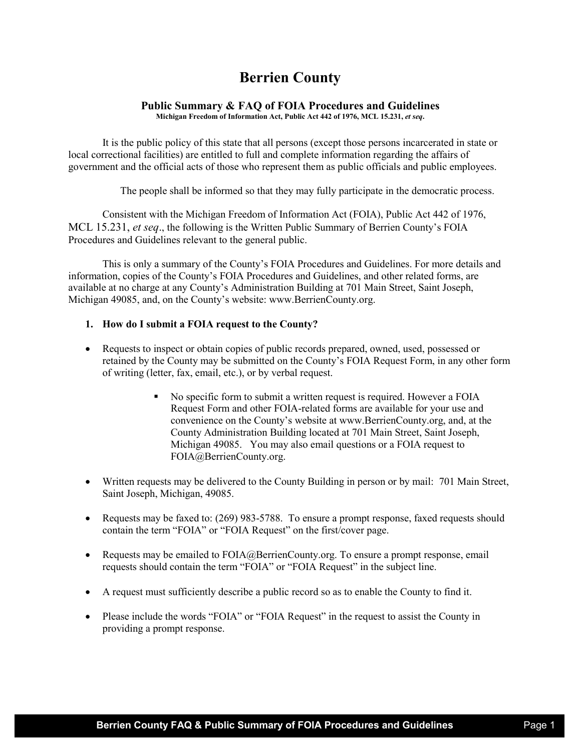# **Berrien County**

# **Public Summary & FAQ of FOIA Procedures and Guidelines**

**Michigan Freedom of Information Act, Public Act 442 of 1976, MCL 15.231,** *et seq***.** 

It is the public policy of this state that all persons (except those persons incarcerated in state or local correctional facilities) are entitled to full and complete information regarding the affairs of government and the official acts of those who represent them as public officials and public employees.

The people shall be informed so that they may fully participate in the democratic process.

Consistent with the Michigan Freedom of Information Act (FOIA), Public Act 442 of 1976, MCL 15.231, *et seq*., the following is the Written Public Summary of Berrien County's FOIA Procedures and Guidelines relevant to the general public.

This is only a summary of the County's FOIA Procedures and Guidelines. For more details and information, copies of the County's FOIA Procedures and Guidelines, and other related forms, are available at no charge at any County's Administration Building at 701 Main Street, Saint Joseph, Michigan 49085, and, on the County's website: www.BerrienCounty.org.

# **1. How do I submit a FOIA request to the County?**

- Requests to inspect or obtain copies of public records prepared, owned, used, possessed or retained by the County may be submitted on the County's FOIA Request Form, in any other form of writing (letter, fax, email, etc.), or by verbal request.
	- No specific form to submit a written request is required. However a FOIA Request Form and other FOIA-related forms are available for your use and convenience on the County's website at www.BerrienCounty.org, and, at the County Administration Building located at 701 Main Street, Saint Joseph, Michigan 49085. You may also email questions or a FOIA request to FOIA@BerrienCounty.org.
- Written requests may be delivered to the County Building in person or by mail: 701 Main Street, Saint Joseph, Michigan, 49085.
- Requests may be faxed to: (269) 983-5788. To ensure a prompt response, faxed requests should contain the term "FOIA" or "FOIA Request" on the first/cover page.
- Requests may be emailed to FOIA@BerrienCounty.org. To ensure a prompt response, email requests should contain the term "FOIA" or "FOIA Request" in the subject line.
- A request must sufficiently describe a public record so as to enable the County to find it.
- Please include the words "FOIA" or "FOIA Request" in the request to assist the County in providing a prompt response.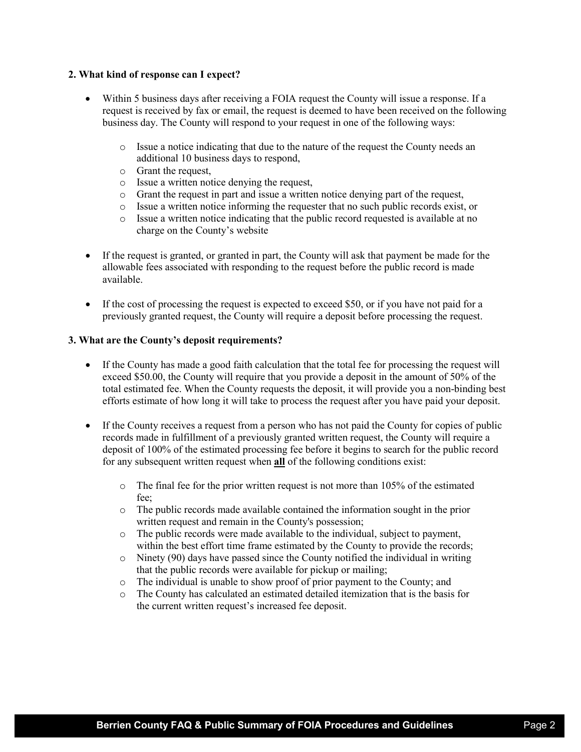## **2. What kind of response can I expect?**

- Within 5 business days after receiving a FOIA request the County will issue a response. If a request is received by fax or email, the request is deemed to have been received on the following business day. The County will respond to your request in one of the following ways:
	- o Issue a notice indicating that due to the nature of the request the County needs an additional 10 business days to respond,
	- o Grant the request,
	- o Issue a written notice denying the request,
	- o Grant the request in part and issue a written notice denying part of the request,
	- $\circ$  Issue a written notice informing the requester that no such public records exist, or  $\circ$  Issue a written notice indicating that the public record requested is available at no
	- Issue a written notice indicating that the public record requested is available at no charge on the County's website
- If the request is granted, or granted in part, the County will ask that payment be made for the allowable fees associated with responding to the request before the public record is made available.
- If the cost of processing the request is expected to exceed \$50, or if you have not paid for a previously granted request, the County will require a deposit before processing the request.

#### **3. What are the County's deposit requirements?**

- If the County has made a good faith calculation that the total fee for processing the request will exceed \$50.00, the County will require that you provide a deposit in the amount of 50% of the total estimated fee. When the County requests the deposit, it will provide you a non-binding best efforts estimate of how long it will take to process the request after you have paid your deposit.
- If the County receives a request from a person who has not paid the County for copies of public records made in fulfillment of a previously granted written request, the County will require a deposit of 100% of the estimated processing fee before it begins to search for the public record for any subsequent written request when **all** of the following conditions exist:
	- $\circ$  The final fee for the prior written request is not more than 105% of the estimated fee;
	- o The public records made available contained the information sought in the prior written request and remain in the County's possession;
	- o The public records were made available to the individual, subject to payment, within the best effort time frame estimated by the County to provide the records;
	- o Ninety (90) days have passed since the County notified the individual in writing that the public records were available for pickup or mailing;
	- $\circ$  The individual is unable to show proof of prior payment to the County; and  $\circ$  The County has calculated an estimated detailed itemization that is the basis
	- The County has calculated an estimated detailed itemization that is the basis for the current written request's increased fee deposit.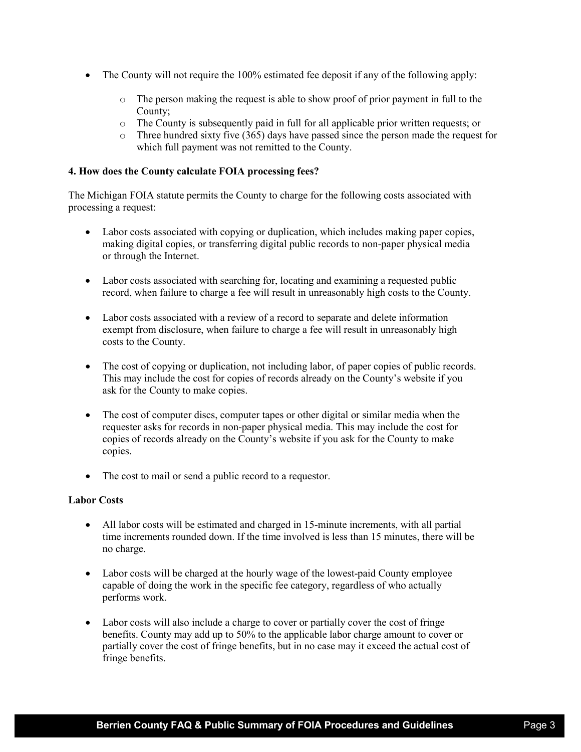- The County will not require the 100% estimated fee deposit if any of the following apply:
	- o The person making the request is able to show proof of prior payment in full to the County;
	- $\circ$  The County is subsequently paid in full for all applicable prior written requests; or  $\circ$  Three hundred sixty five (365) days have passed since the person made the request
	- Three hundred sixty five  $(365)$  days have passed since the person made the request for which full payment was not remitted to the County.

## **4. How does the County calculate FOIA processing fees?**

The Michigan FOIA statute permits the County to charge for the following costs associated with processing a request:

- Labor costs associated with copying or duplication, which includes making paper copies, making digital copies, or transferring digital public records to non-paper physical media or through the Internet.
- Labor costs associated with searching for, locating and examining a requested public record, when failure to charge a fee will result in unreasonably high costs to the County.
- Labor costs associated with a review of a record to separate and delete information exempt from disclosure, when failure to charge a fee will result in unreasonably high costs to the County.
- The cost of copying or duplication, not including labor, of paper copies of public records. This may include the cost for copies of records already on the County's website if you ask for the County to make copies.
- The cost of computer discs, computer tapes or other digital or similar media when the requester asks for records in non-paper physical media. This may include the cost for copies of records already on the County's website if you ask for the County to make copies.
- The cost to mail or send a public record to a requestor.

## **Labor Costs**

- All labor costs will be estimated and charged in 15-minute increments, with all partial time increments rounded down. If the time involved is less than 15 minutes, there will be no charge.
- Labor costs will be charged at the hourly wage of the lowest-paid County employee capable of doing the work in the specific fee category, regardless of who actually performs work.
- Labor costs will also include a charge to cover or partially cover the cost of fringe benefits. County may add up to 50% to the applicable labor charge amount to cover or partially cover the cost of fringe benefits, but in no case may it exceed the actual cost of fringe benefits.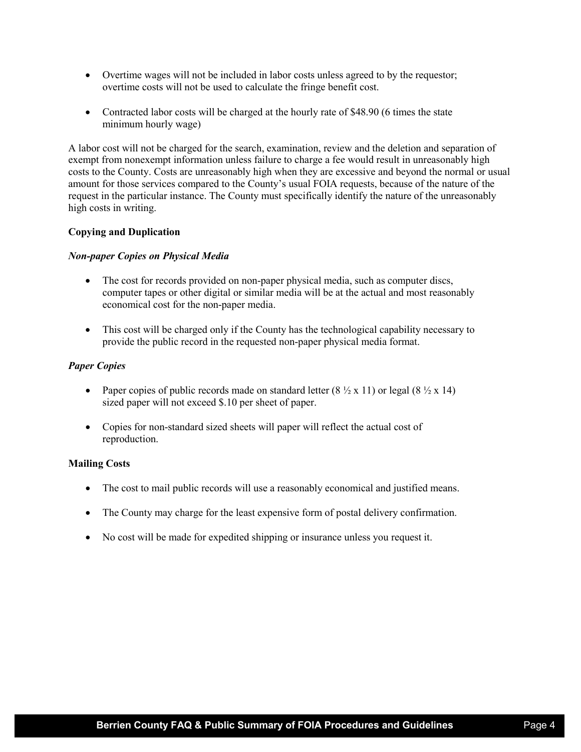- Overtime wages will not be included in labor costs unless agreed to by the requestor; overtime costs will not be used to calculate the fringe benefit cost.
- Contracted labor costs will be charged at the hourly rate of \$48.90 (6 times the state minimum hourly wage)

A labor cost will not be charged for the search, examination, review and the deletion and separation of exempt from nonexempt information unless failure to charge a fee would result in unreasonably high costs to the County. Costs are unreasonably high when they are excessive and beyond the normal or usual amount for those services compared to the County's usual FOIA requests, because of the nature of the request in the particular instance. The County must specifically identify the nature of the unreasonably high costs in writing.

# **Copying and Duplication**

# *Non-paper Copies on Physical Media*

- The cost for records provided on non-paper physical media, such as computer discs, computer tapes or other digital or similar media will be at the actual and most reasonably economical cost for the non-paper media.
- This cost will be charged only if the County has the technological capability necessary to provide the public record in the requested non-paper physical media format.

# *Paper Copies*

- Paper copies of public records made on standard letter (8  $\frac{1}{2}$  x 11) or legal (8  $\frac{1}{2}$  x 14) sized paper will not exceed \$.10 per sheet of paper.
- Copies for non-standard sized sheets will paper will reflect the actual cost of reproduction.

## **Mailing Costs**

- The cost to mail public records will use a reasonably economical and justified means.
- The County may charge for the least expensive form of postal delivery confirmation.
- No cost will be made for expedited shipping or insurance unless you request it.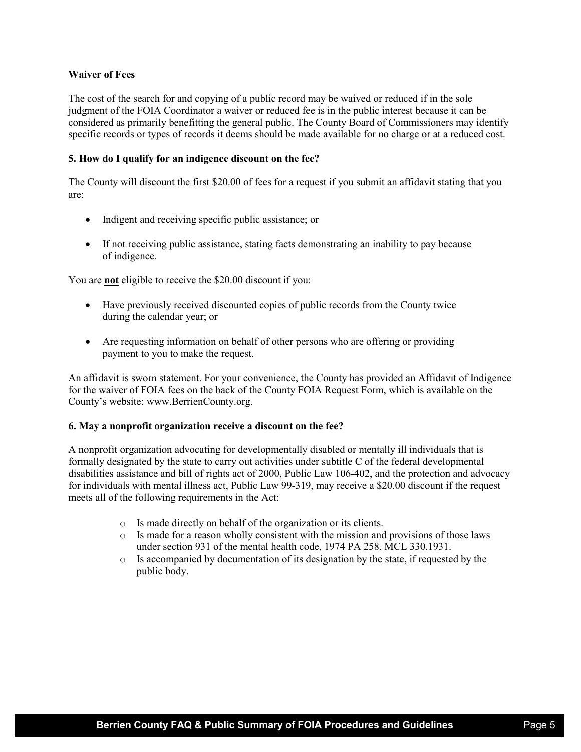# **Waiver of Fees**

The cost of the search for and copying of a public record may be waived or reduced if in the sole judgment of the FOIA Coordinator a waiver or reduced fee is in the public interest because it can be considered as primarily benefitting the general public. The County Board of Commissioners may identify specific records or types of records it deems should be made available for no charge or at a reduced cost.

# **5. How do I qualify for an indigence discount on the fee?**

The County will discount the first \$20.00 of fees for a request if you submit an affidavit stating that you are:

- Indigent and receiving specific public assistance; or
- If not receiving public assistance, stating facts demonstrating an inability to pay because of indigence.

You are **not** eligible to receive the \$20.00 discount if you:

- Have previously received discounted copies of public records from the County twice during the calendar year; or
- Are requesting information on behalf of other persons who are offering or providing payment to you to make the request.

An affidavit is sworn statement. For your convenience, the County has provided an Affidavit of Indigence for the waiver of FOIA fees on the back of the County FOIA Request Form, which is available on the County's website: www.BerrienCounty.org.

## **6. May a nonprofit organization receive a discount on the fee?**

A nonprofit organization advocating for developmentally disabled or mentally ill individuals that is formally designated by the state to carry out activities under subtitle C of the federal developmental disabilities assistance and bill of rights act of 2000, Public Law 106-402, and the protection and advocacy for individuals with mental illness act, Public Law 99-319, may receive a \$20.00 discount if the request meets all of the following requirements in the Act:

- o Is made directly on behalf of the organization or its clients.
- o Is made for a reason wholly consistent with the mission and provisions of those laws under section 931 of the mental health code, 1974 PA 258, MCL 330.1931.
- o Is accompanied by documentation of its designation by the state, if requested by the public body.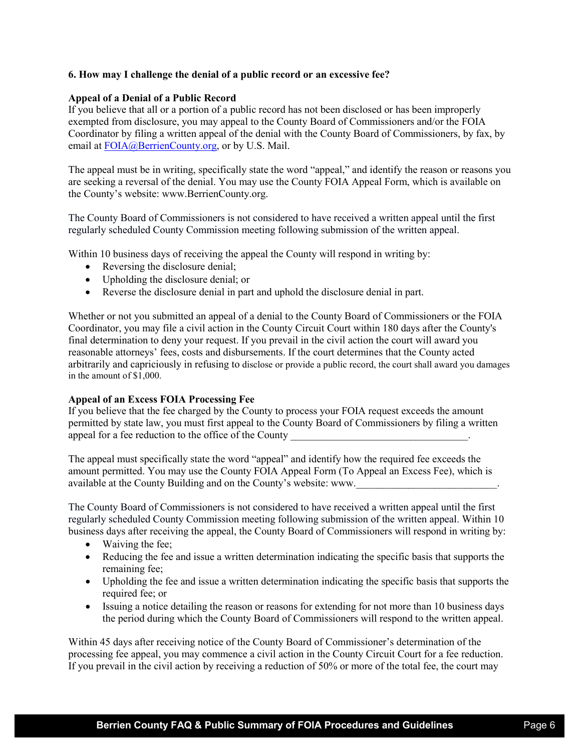## **6. How may I challenge the denial of a public record or an excessive fee?**

#### **Appeal of a Denial of a Public Record**

If you believe that all or a portion of a public record has not been disclosed or has been improperly exempted from disclosure, you may appeal to the County Board of Commissioners and/or the FOIA Coordinator by filing a written appeal of the denial with the County Board of Commissioners, by fax, by email at [FOIA@BerrienCounty.org,](mailto:FOIA@BerrienCounty.org) or by U.S. Mail.

The appeal must be in writing, specifically state the word "appeal," and identify the reason or reasons you are seeking a reversal of the denial. You may use the County FOIA Appeal Form, which is available on the County's website: www.BerrienCounty.org.

The County Board of Commissioners is not considered to have received a written appeal until the first regularly scheduled County Commission meeting following submission of the written appeal.

Within 10 business days of receiving the appeal the County will respond in writing by:

- Reversing the disclosure denial;
- Upholding the disclosure denial; or
- Reverse the disclosure denial in part and uphold the disclosure denial in part.

Whether or not you submitted an appeal of a denial to the County Board of Commissioners or the FOIA Coordinator, you may file a civil action in the County Circuit Court within 180 days after the County's final determination to deny your request. If you prevail in the civil action the court will award you reasonable attorneys' fees, costs and disbursements. If the court determines that the County acted arbitrarily and capriciously in refusing to disclose or provide a public record, the court shall award you damages in the amount of \$1,000.

#### **Appeal of an Excess FOIA Processing Fee**

If you believe that the fee charged by the County to process your FOIA request exceeds the amount permitted by state law, you must first appeal to the County Board of Commissioners by filing a written appeal for a fee reduction to the office of the County

The appeal must specifically state the word "appeal" and identify how the required fee exceeds the amount permitted. You may use the County FOIA Appeal Form (To Appeal an Excess Fee), which is available at the County Building and on the County's website: www.

The County Board of Commissioners is not considered to have received a written appeal until the first regularly scheduled County Commission meeting following submission of the written appeal. Within 10 business days after receiving the appeal, the County Board of Commissioners will respond in writing by:

- Waiving the fee;
- Reducing the fee and issue a written determination indicating the specific basis that supports the remaining fee;
- Upholding the fee and issue a written determination indicating the specific basis that supports the required fee; or
- Issuing a notice detailing the reason or reasons for extending for not more than 10 business days the period during which the County Board of Commissioners will respond to the written appeal.

Within 45 days after receiving notice of the County Board of Commissioner's determination of the processing fee appeal, you may commence a civil action in the County Circuit Court for a fee reduction. If you prevail in the civil action by receiving a reduction of 50% or more of the total fee, the court may